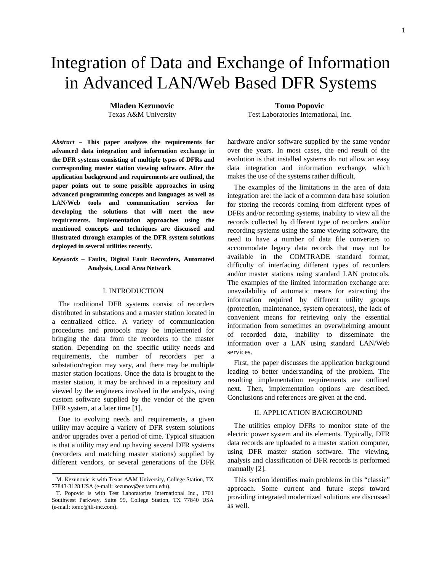# Integration of Data and Exchange of Information in Advanced LAN/Web Based DFR Systems

**Mladen Kezunovic Tomo Popovic**

*Abstract* **– This paper analyzes the requirements for advanced data integration and information exchange in the DFR systems consisting of multiple types of DFRs and corresponding master station viewing software. After the application background and requirements are outlined, the paper points out to some possible approaches in using advanced programming concepts and languages as well as LAN/Web tools and communication services for developing the solutions that will meet the new requirements. Implementation approaches using the mentioned concepts and techniques are discussed and illustrated through examples of the DFR system solutions deployed in several utilities recently.** 

*Keywords* **– Faults, Digital Fault Recorders, Automated Analysis, Local Area Network** 

## I. INTRODUCTION

The traditional DFR systems consist of recorders distributed in substations and a master station located in a centralized office. A variety of communication procedures and protocols may be implemented for bringing the data from the recorders to the master station. Depending on the specific utility needs and requirements, the number of recorders per a substation/region may vary, and there may be multiple master station locations. Once the data is brought to the master station, it may be archived in a repository and viewed by the engineers involved in the analysis, using custom software supplied by the vendor of the given DFR system, at a later time [1].

Due to evolving needs and requirements, a given utility may acquire a variety of DFR system solutions and/or upgrades over a period of time. Typical situation is that a utility may end up having several DFR systems (recorders and matching master stations) supplied by different vendors, or several generations of the DFR

Texas A&M University Test Laboratories International, Inc.

hardware and/or software supplied by the same vendor over the years. In most cases, the end result of the evolution is that installed systems do not allow an easy data integration and information exchange, which makes the use of the systems rather difficult.

The examples of the limitations in the area of data integration are: the lack of a common data base solution for storing the records coming from different types of DFRs and/or recording systems, inability to view all the records collected by different type of recorders and/or recording systems using the same viewing software, the need to have a number of data file converters to accommodate legacy data records that may not be available in the COMTRADE standard format, difficulty of interfacing different types of recorders and/or master stations using standard LAN protocols. The examples of the limited information exchange are: unavailability of automatic means for extracting the information required by different utility groups (protection, maintenance, system operators), the lack of convenient means for retrieving only the essential information from sometimes an overwhelming amount of recorded data, inability to disseminate the information over a LAN using standard LAN/Web services.

First, the paper discusses the application background leading to better understanding of the problem. The resulting implementation requirements are outlined next. Then, implementation options are described. Conclusions and references are given at the end.

## II. APPLICATION BACKGROUND

The utilities employ DFRs to monitor state of the electric power system and its elements. Typically, DFR data records are uploaded to a master station computer, using DFR master station software. The viewing, analysis and classification of DFR records is performed manually [2].

This section identifies main problems in this "classic" approach. Some current and future steps toward providing integrated modernized solutions are discussed as well.

M. Kezunovic is with Texas A&M University, College Station, TX 77843-3128 USA (e-mail: kezunov@ee.tamu.edu).

T. Popovic is with Test Laboratories International Inc., 1701 Southwest Parkway, Suite 99, College Station, TX 77840 USA (e-mail: tomo@tli-inc.com).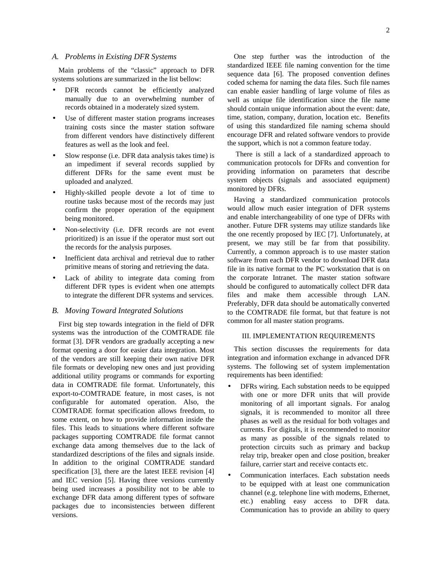## *A. Problems in Existing DFR Systems*

Main problems of the "classic" approach to DFR systems solutions are summarized in the list bellow:

- DFR records cannot be efficiently analyzed manually due to an overwhelming number of records obtained in a moderately sized system.
- Use of different master station programs increases training costs since the master station software from different vendors have distinctively different features as well as the look and feel.
- Slow response (i.e. DFR data analysis takes time) is an impediment if several records supplied by different DFRs for the same event must be uploaded and analyzed.
- Highly-skilled people devote a lot of time to routine tasks because most of the records may just confirm the proper operation of the equipment being monitored.
- Non-selectivity (i.e. DFR records are not event prioritized) is an issue if the operator must sort out the records for the analysis purposes.
- Inefficient data archival and retrieval due to rather primitive means of storing and retrieving the data.
- Lack of ability to integrate data coming from different DFR types is evident when one attempts to integrate the different DFR systems and services.

## *B. Moving Toward Integrated Solutions*

First big step towards integration in the field of DFR systems was the introduction of the COMTRADE file format [3]. DFR vendors are gradually accepting a new format opening a door for easier data integration. Most of the vendors are still keeping their own native DFR file formats or developing new ones and just providing additional utility programs or commands for exporting data in COMTRADE file format. Unfortunately, this export-to-COMTRADE feature, in most cases, is not configurable for automated operation. Also, the COMTRADE format specification allows freedom, to some extent, on how to provide information inside the files. This leads to situations where different software packages supporting COMTRADE file format cannot exchange data among themselves due to the lack of standardized descriptions of the files and signals inside. In addition to the original COMTRADE standard specification [3], there are the latest IEEE revision [4] and IEC version [5]. Having three versions currently being used increases a possibility not to be able to exchange DFR data among different types of software packages due to inconsistencies between different versions.

One step further was the introduction of the standardized IEEE file naming convention for the time sequence data [6]. The proposed convention defines coded schema for naming the data files. Such file names can enable easier handling of large volume of files as well as unique file identification since the file name should contain unique information about the event: date, time, station, company, duration, location etc. Benefits of using this standardized file naming schema should encourage DFR and related software vendors to provide the support, which is not a common feature today.

 There is still a lack of a standardized approach to communication protocols for DFRs and convention for providing information on parameters that describe system objects (signals and associated equipment) monitored by DFRs.

Having a standardized communication protocols would allow much easier integration of DFR systems and enable interchangeability of one type of DFRs with another. Future DFR systems may utilize standards like the one recently proposed by IEC [7]. Unfortunately, at present, we may still be far from that possibility. Currently, a common approach is to use master station software from each DFR vendor to download DFR data file in its native format to the PC workstation that is on the corporate Intranet. The master station software should be configured to automatically collect DFR data files and make them accessible through LAN. Preferably, DFR data should be automatically converted to the COMTRADE file format, but that feature is not common for all master station programs.

## III. IMPLEMENTATION REQUIREMENTS

This section discusses the requirements for data integration and information exchange in advanced DFR systems. The following set of system implementation requirements has been identified:

- DFRs wiring. Each substation needs to be equipped with one or more DFR units that will provide monitoring of all important signals. For analog signals, it is recommended to monitor all three phases as well as the residual for both voltages and currents. For digitals, it is recommended to monitor as many as possible of the signals related to protection circuits such as primary and backup relay trip, breaker open and close position, breaker failure, carrier start and receive contacts etc.
- Communication interfaces. Each substation needs to be equipped with at least one communication channel (e.g. telephone line with modems, Ethernet, etc.) enabling easy access to DFR data. Communication has to provide an ability to query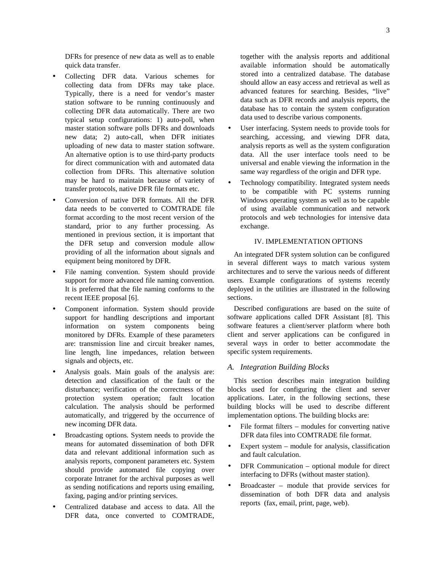DFRs for presence of new data as well as to enable quick data transfer.

- Collecting DFR data. Various schemes for collecting data from DFRs may take place. Typically, there is a need for vendor's master station software to be running continuously and collecting DFR data automatically. There are two typical setup configurations: 1) auto-poll, when master station software polls DFRs and downloads new data; 2) auto-call, when DFR initiates uploading of new data to master station software. An alternative option is to use third-party products for direct communication with and automated data collection from DFRs. This alternative solution may be hard to maintain because of variety of transfer protocols, native DFR file formats etc.
- Conversion of native DFR formats. All the DFR data needs to be converted to COMTRADE file format according to the most recent version of the standard, prior to any further processing. As mentioned in previous section, it is important that the DFR setup and conversion module allow providing of all the information about signals and equipment being monitored by DFR.
- File naming convention. System should provide support for more advanced file naming convention. It is preferred that the file naming conforms to the recent IEEE proposal [6].
- Component information. System should provide support for handling descriptions and important information on system components being monitored by DFRs. Example of these parameters are: transmission line and circuit breaker names, line length, line impedances, relation between signals and objects, etc.
- Analysis goals. Main goals of the analysis are: detection and classification of the fault or the disturbance; verification of the correctness of the protection system operation; fault location calculation. The analysis should be performed automatically, and triggered by the occurrence of new incoming DFR data.
- Broadcasting options. System needs to provide the means for automated dissemination of both DFR data and relevant additional information such as analysis reports, component parameters etc. System should provide automated file copying over corporate Intranet for the archival purposes as well as sending notifications and reports using emailing, faxing, paging and/or printing services.
- Centralized database and access to data. All the DFR data, once converted to COMTRADE,

together with the analysis reports and additional available information should be automatically stored into a centralized database. The database should allow an easy access and retrieval as well as advanced features for searching. Besides, "live" data such as DFR records and analysis reports, the database has to contain the system configuration data used to describe various components.

- User interfacing. System needs to provide tools for searching, accessing, and viewing DFR data, analysis reports as well as the system configuration data. All the user interface tools need to be universal and enable viewing the information in the same way regardless of the origin and DFR type.
- Technology compatibility. Integrated system needs to be compatible with PC systems running Windows operating system as well as to be capable of using available communication and network protocols and web technologies for intensive data exchange.

# IV. IMPLEMENTATION OPTIONS

An integrated DFR system solution can be configured in several different ways to match various system architectures and to serve the various needs of different users. Example configurations of systems recently deployed in the utilities are illustrated in the following sections.

Described configurations are based on the suite of software applications called DFR Assistant [8]. This software features a client/server platform where both client and server applications can be configured in several ways in order to better accommodate the specific system requirements.

## *A. Integration Building Blocks*

This section describes main integration building blocks used for configuring the client and server applications. Later, in the following sections, these building blocks will be used to describe different implementation options. The building blocks are:

- File format filters  $-$  modules for converting native DFR data files into COMTRADE file format.
- Expert system  $-$  module for analysis, classification and fault calculation.
- DFR Communication optional module for direct interfacing to DFRs (without master station).
- Broadcaster module that provide services for dissemination of both DFR data and analysis reports (fax, email, print, page, web).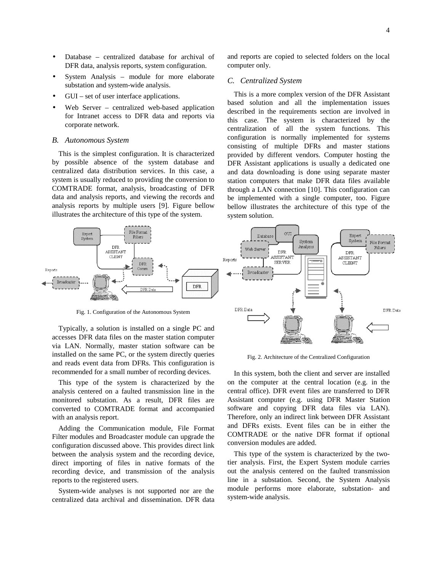- Database centralized database for archival of DFR data, analysis reports, system configuration.
- System Analysis module for more elaborate substation and system-wide analysis.
- GUI set of user interface applications.
- Web Server centralized web-based application for Intranet access to DFR data and reports via corporate network.

#### *B. Autonomous System*

This is the simplest configuration. It is characterized by possible absence of the system database and centralized data distribution services. In this case, a system is usually reduced to providing the conversion to COMTRADE format, analysis, broadcasting of DFR data and analysis reports, and viewing the records and analysis reports by multiple users [9]. Figure bellow illustrates the architecture of this type of the system.

File Format Expert<br>System Filters **DFR** ASSISTANT CLIENT **DFR** Reports mmo Broadcaster DFR

Fig. 1. Configuration of the Autonomous System

Typically, a solution is installed on a single PC and accesses DFR data files on the master station computer via LAN. Normally, master station software can be installed on the same PC, or the system directly queries and reads event data from DFRs. This configuration is recommended for a small number of recording devices.

This type of the system is characterized by the analysis centered on a faulted transmission line in the monitored substation. As a result, DFR files are converted to COMTRADE format and accompanied with an analysis report.

Adding the Communication module, File Format Filter modules and Broadcaster module can upgrade the configuration discussed above. This provides direct link between the analysis system and the recording device, direct importing of files in native formats of the recording device, and transmission of the analysis reports to the registered users.

System-wide analyses is not supported nor are the centralized data archival and dissemination. DFR data and reports are copied to selected folders on the local computer only.

## *C. Centralized System*

This is a more complex version of the DFR Assistant based solution and all the implementation issues described in the requirements section are involved in this case. The system is characterized by the centralization of all the system functions. This configuration is normally implemented for systems consisting of multiple DFRs and master stations provided by different vendors. Computer hosting the DFR Assistant applications is usually a dedicated one and data downloading is done using separate master station computers that make DFR data files available through a LAN connection [10]. This configuration can be implemented with a single computer, too. Figure bellow illustrates the architecture of this type of the system solution.



Fig. 2. Architecture of the Centralized Configuration

In this system, both the client and server are installed on the computer at the central location (e.g. in the central office). DFR event files are transferred to DFR Assistant computer (e.g. using DFR Master Station software and copying DFR data files via LAN). Therefore, only an indirect link between DFR Assistant and DFRs exists. Event files can be in either the COMTRADE or the native DFR format if optional conversion modules are added.

This type of the system is characterized by the twotier analysis. First, the Expert System module carries out the analysis centered on the faulted transmission line in a substation. Second, the System Analysis module performs more elaborate, substation- and system-wide analysis.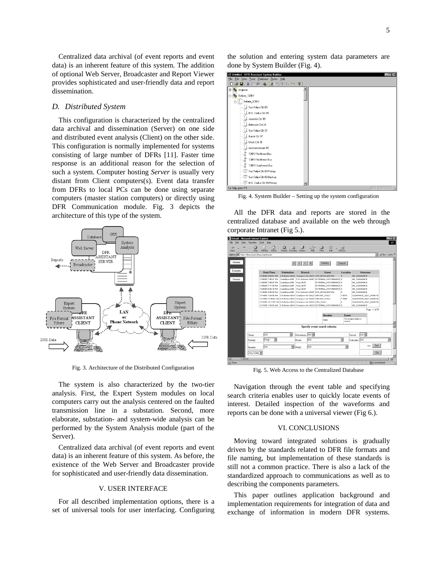Centralized data archival (of event reports and event data) is an inherent feature of this system. The addition of optional Web Server, Broadcaster and Report Viewer provides sophisticated and user-friendly data and report dissemination.

## *D. Distributed System*

This configuration is characterized by the centralized data archival and dissemination (Server) on one side and distributed event analysis (Client) on the other side. This configuration is normally implemented for systems consisting of large number of DFRs [11]. Faster time response is an additional reason for the selection of such a system. Computer hosting *Server* is usually very distant from Client computers(s). Event data transfer from DFRs to local PCs can be done using separate computers (master station computers) or directly using DFR Communication module. Fig. 3 depicts the architecture of this type of the system.



Fig. 3. Architecture of the Distributed Configuration

The system is also characterized by the two-tier analysis. First, the Expert System modules on local computers carry out the analysis centered on the faulted transmission line in a substation. Second, more elaborate, substation- and system-wide analysis can be performed by the System Analysis module (part of the Server).

Centralized data archival (of event reports and event data) is an inherent feature of this system. As before, the existence of the Web Server and Broadcaster provide for sophisticated and user-friendly data dissemination.

## V. USER INTERFACE

For all described implementation options, there is a set of universal tools for user interfacing. Configuring

| Untitled - DFR Assistant System Builder<br>$ \Box$ $\times$                                     |
|-------------------------------------------------------------------------------------------------|
| View Tools Database Option Help<br>Edit<br>Eile                                                 |
| 6 日 3 日日 4 生 1 牡牛 4 出 ?<br>ם                                                                    |
| 田 & Angleton                                                                                    |
| Bellaire_138kV                                                                                  |
| Bellaire_138kV                                                                                  |
| San Felipe Ckt 09                                                                               |
| $\begin{array}{c} \begin{array}{c} \begin{array}{c} \end{array} \end{array}$ H.O. Clarke Ckt 09 |
| Jeanetta Ckt 05                                                                                 |
| Britmoore Ckt 24                                                                                |
| San Felipe Ckt 37                                                                               |
| Garrot Ckt 37                                                                                   |
| $\begin{bmatrix} 1 \\ -1 \end{bmatrix}$ Ulrich Ckt 35                                           |
| $\begin{smallmatrix} &\bullet\\ \bullet\\ \bullet\end{smallmatrix}$ ,<br>Autotransformer #5     |
| 138KV Northeast Bus                                                                             |
| 13BKV Northwest Bus                                                                             |
| 138KV Southwest Bus                                                                             |
| San Felipe Ckt 09-Primary                                                                       |
| San Felipe Ckt 09-Backup                                                                        |
| H.O. Clarke Ckt 09-Primary                                                                      |
| For Help, press E1                                                                              |

Fig. 4. System Builder – Setting up the system configuration

All the DFR data and reports are stored in the centralized database and available on the web through corporate Intranet (Fig 5.).

| Edit.<br>View<br>Favorites                        | Tools<br>Help                                                            |                                                     |                                       |            |                                                                                   |                          |              |                          |                         |
|---------------------------------------------------|--------------------------------------------------------------------------|-----------------------------------------------------|---------------------------------------|------------|-----------------------------------------------------------------------------------|--------------------------|--------------|--------------------------|-------------------------|
| $\mathbb{Z}$<br>að.<br>Stop<br>Forward            | 耐<br>۲a<br>Refresh<br>Home                                               | Q<br>ित<br>Search Favorites                         | 63<br>History                         | 로.<br>Mail | 9<br>図<br>$P_{\text{init}}$<br>Edit                                               | 圓<br>Discuss             |              |                          |                         |
| Address (2) http://dirassistant/dirassistanthome/ |                                                                          |                                                     |                                       |            |                                                                                   |                          |              | $\overline{\phantom{a}}$ | PGo Links <sup>39</sup> |
| Home                                              |                                                                          |                                                     | $\vert \cdot \vert \cdot \vert$ >   > |            | Details                                                                           | Search                   |              |                          |                         |
| Events                                            | Date/Time                                                                | Substation                                          | <b>Branch</b>                         |            | <b>Event</b>                                                                      | Location                 |              | Outcome                  |                         |
|                                                   | 11/16/00 8:58:51 PM                                                      |                                                     |                                       |            | S.R.Bertron 69 KV Champion Int. Cld 23 DFR INITIALIZATION                         | $\overline{a}$           | NO CLEARANCE |                          |                         |
| Users                                             | 11/26/00 7:46:41 PM                                                      | CedarBavou345                                       |                                       |            | P.H. Robinson Cld 97 EXTERNAL_DISTURBANCE 0                                       |                          | NO_CLEARANCE |                          |                         |
|                                                   | 11/26/00 7:46:03 PM                                                      | CedarBayou346                                       | King Cld 97                           |            | EXTERNAL DISTURBANCE 0                                                            |                          | NO CLEARANCE |                          |                         |
|                                                   | 11/26/00 7:17:39 PM                                                      | CedarBayou346                                       | King Cld 97                           |            | EXTERNAL DISTURBANCE O                                                            |                          | NO CLEARANCE |                          |                         |
|                                                   | 11/26/00 6:40:19 PM                                                      | CedarBayou346                                       | King Ckt 97                           |            | EXTERNAL DISTURBANCE O                                                            |                          | NO_CLEARANCE |                          |                         |
|                                                   | 11/16/00 4:36:40 PM                                                      | CedarBayou346                                       |                                       |            | P.H. Robinson Cld 97 DFR_INITIALIZATION                                           | n.                       | NO_CLEARANCE |                          |                         |
|                                                   | 11/14/00 1:08:08 AM                                                      | S.R.Bertron 69 kV Champion Int. Ckt 23 ABCOND_FAULT |                                       |            |                                                                                   | 7.6815                   |              | CLEARANCE SELF REMOTE    |                         |
|                                                   | 11/14/00 12:48:02 AM S.R.Bertron 69 kV Champion Int. Cld 23 ABCOND_FAULT |                                                     |                                       |            |                                                                                   | 7.7608                   |              | CLEARANCE SELF REMOTE    |                         |
|                                                   | 11/13/00 10:11:53 PM S.R.Bertron 69 kV Champion Int. Ckt 23 GND FAULT    |                                                     |                                       |            |                                                                                   | n.                       |              | CLEARANCE SELF REMOTE    |                         |
|                                                   |                                                                          |                                                     |                                       |            | 11/13/00 1:25:05 AM S.R.Bertron 69 KV Champion Int. Ckt 23 EXTERNAL DISTURBANCE 0 |                          | NO_CLEARANCE |                          |                         |
|                                                   |                                                                          |                                                     |                                       |            |                                                                                   |                          |              | Page: 1 of 20            |                         |
|                                                   |                                                                          |                                                     |                                       |            | <b>Breaker</b>                                                                    | Event                    |              |                          |                         |
|                                                   |                                                                          |                                                     |                                       |            | The breaker status is:<br>PRBO<br>correct.                                        |                          |              |                          |                         |
|                                                   |                                                                          |                                                     |                                       |            |                                                                                   |                          |              |                          |                         |
|                                                   |                                                                          |                                                     |                                       |            | Specify event search criteria:                                                    |                          |              |                          |                         |
| Client:                                           | ĪАI                                                                      | $\overline{\phantom{a}}$                            | Substation: All                       |            |                                                                                   |                          | Circuit:     | All -                    |                         |
| Priority:                                         | $\overline{\phantom{a}}$<br>High                                         |                                                     | Event:                                | All        |                                                                                   | $\overline{\phantom{a}}$ | Outcome: All |                          |                         |
| Breaker.                                          | ĪАII                                                                     | ▿                                                   | Relay:                                | <b>AI</b>  |                                                                                   | ۳                        |              | Set<br>disk              |                         |
| Any Date -                                        |                                                                          |                                                     |                                       |            |                                                                                   |                          |              | Go                       |                         |
| <b>Fils</b>                                       |                                                                          |                                                     |                                       |            |                                                                                   |                          |              |                          |                         |
|                                                   |                                                                          |                                                     |                                       |            |                                                                                   |                          |              |                          |                         |

Fig. 5. Web Access to the Centralized Database

Navigation through the event table and specifying search criteria enables user to quickly locate events of interest. Detailed inspection of the waveforms and reports can be done with a universal viewer (Fig 6.).

### VI. CONCLUSIONS

Moving toward integrated solutions is gradually driven by the standards related to DFR file formats and file naming, but implementation of these standards is still not a common practice. There is also a lack of the standardized approach to communications as well as to describing the components parameters.

This paper outlines application background and implementation requirements for integration of data and exchange of information in modern DFR systems.